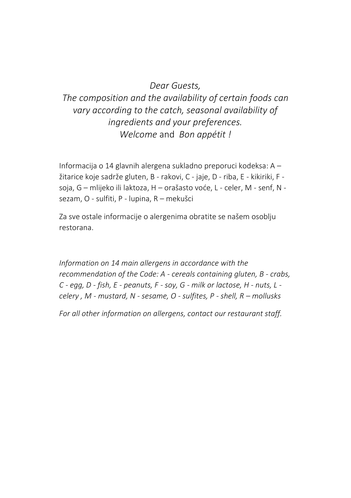#### *Dear Guests,*

### *The composition and the availability of certain foods can vary according to the catch, seasonal availability of ingredients and your preferences. Welcome* and *Bon appétit !*

Informacija o 14 glavnih alergena sukladno preporuci kodeksa: A – žitarice koje sadrže gluten, B - rakovi, C - jaje, D - riba, E - kikiriki, F soja, G – mlijeko ili laktoza, H – orašasto voće, L - celer, M - senf, N sezam, O - sulfiti, P - lupina, R – mekušci

Za sve ostale informacije o alergenima obratite se našem osoblju restorana.

*Information on 14 main allergens in accordance with the recommendation of the Code: A - cereals containing gluten, B - crabs, C - egg, D - fish, E - peanuts, F - soy, G - milk or lactose, H - nuts, L celery , M - mustard, N - sesame, O - sulfites, P - shell, R – mollusks*

*For all other information on allergens, contact our restaurant staff.*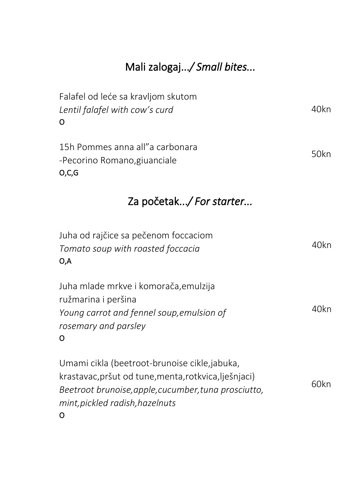# Mali zalogaj...*/ Small bites...*

| Falafel od leće sa kravljom skutom<br>Lentil falafel with cow's curd<br>O                                                                                                                         | 40kn |
|---------------------------------------------------------------------------------------------------------------------------------------------------------------------------------------------------|------|
| 15h Pommes anna all" a carbonara<br>-Pecorino Romano, giuanciale<br>O, C, G                                                                                                                       | 50kn |
| Za početak/ For starter                                                                                                                                                                           |      |
| Juha od rajčice sa pečenom foccaciom<br>Tomato soup with roasted foccacia<br>0,A                                                                                                                  | 40kn |
| Juha mlade mrkve i komorača, emulzija<br>ružmarina i peršina<br>Young carrot and fennel soup, emulsion of<br>rosemary and parsley<br>o                                                            | 40kn |
| Umami cikla (beetroot-brunoise cikle, jabuka,<br>krastavac, pršut od tune, menta, rotkvica, lješnjaci)<br>Beetroot brunoise, apple, cucumber, tuna prosciutto,<br>mint, pickled radish, hazelnuts | 60kn |

O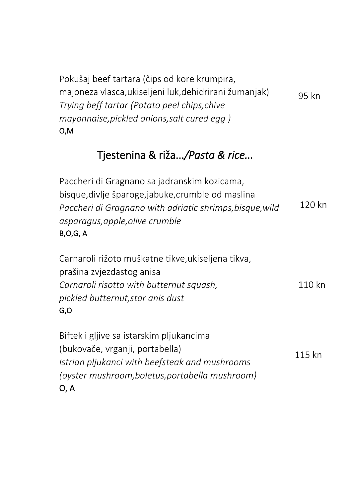| Pokušaj beef tartara (čips od kore krumpira,           |       |
|--------------------------------------------------------|-------|
| majoneza vlasca, ukiseljeni luk, dehidrirani žumanjak) | 95 kn |
| Trying beff tartar (Potato peel chips, chive           |       |
| mayonnaise, pickled onions, salt cured egg)            |       |
| 0,M                                                    |       |

## Tjestenina & riža...*/Pasta & rice...*

Paccheri di Gragnano sa jadranskim kozicama, bisque,divlje šparoge,jabuke,crumble od maslina *Paccheri di Gragnano with adriatic shrimps,bisque,wild asparagus,apple,olive crumble* B,O,G, A 120 kn

Carnaroli rižoto muškatne tikve,ukiseljena tikva, prašina zvjezdastog anisa *Carnaroli risotto with butternut squash, pickled butternut,star anis dust* G,O 110 kn

Biftek i gljive sa istarskim pljukancima (bukovače, vrganji, portabella) *Istrian pljukanci with beefsteak and mushrooms (oyster mushroom,boletus,portabella mushroom)* O, A 115 kn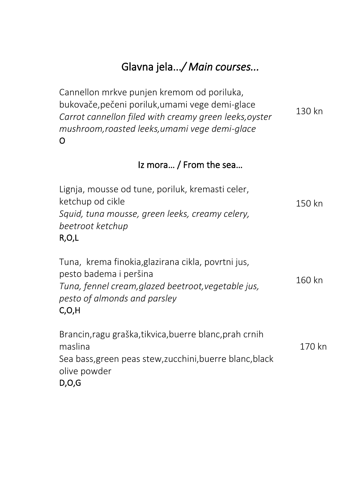# Glavna jela...*/ Main courses...*

Cannellon mrkve punjen kremom od poriluka, bukovače,pečeni poriluk,umami vege demi-glace *Carrot cannellon filed with creamy green leeks,oyster mushroom,roasted leeks,umami vege demi-glace* O 130 kn

### Iz mora… / From the sea…

| Lignja, mousse od tune, poriluk, kremasti celer,                             |          |
|------------------------------------------------------------------------------|----------|
| ketchup od cikle                                                             | 150 kn   |
| Squid, tuna mousse, green leeks, creamy celery,<br>beetroot ketchup<br>R,O,L |          |
| Tuna, krema finokia, glazirana cikla, povrtni jus,<br>pesto badema i peršina | $1CD$ kn |

*Tuna, fennel cream,glazed beetroot,vegetable jus, pesto of almonds and parsley* C,O,H 160 kn

#### Brancin,ragu graška,tikvica,buerre blanc,prah crnih maslina Sea bass,green peas stew,zucchini,buerre blanc,black olive powder D,O,G 170 kn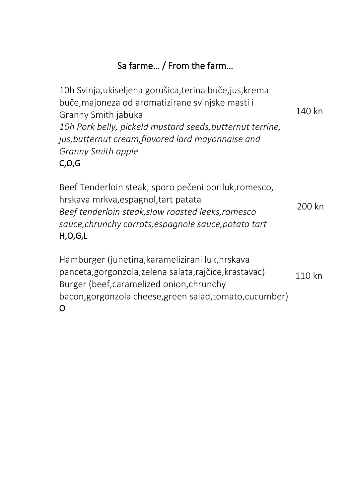### Sa farme… / From the farm…

10h Svinja,ukiseljena gorušica,terina buče,jus,krema buče,majoneza od aromatizirane svinjske masti i Granny Smith jabuka *10h Pork belly, pickeld mustard seeds,butternut terrine, jus,butternut cream,flavored lard mayonnaise and Granny Smith apple* C,O,G 140 kn

Beef Tenderloin steak, sporo pečeni poriluk,romesco, hrskava mrkva,espagnol,tart patata *Beef tenderloin steak,slow roasted leeks,romesco sauce,chrunchy carrots,espagnole sauce,potato tart* H,O,G,L 200 kn

Hamburger (junetina,karamelizirani luk,hrskava panceta,gorgonzola,zelena salata,rajčice,krastavac) Burger (beef,caramelized onion,chrunchy bacon,gorgonzola cheese,green salad,tomato,cucumber) O 110 kn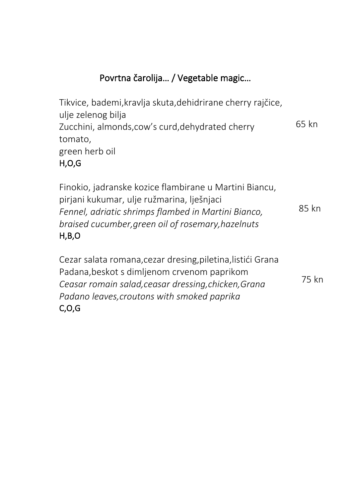### Povrtna čarolija… / Vegetable magic…

Tikvice, bademi,kravlja skuta,dehidrirane cherry rajčice, ulje zelenog bilja Zucchini, almonds,cow's curd,dehydrated cherry tomato, green herb oil H,O,G 65 kn

Finokio, jadranske kozice flambirane u Martini Biancu, pirjani kukumar, ulje ružmarina, lješnjaci *Fennel, adriatic shrimps flambed in Martini Bianco, braised cucumber,green oil of rosemary,hazelnuts* H,B,O 85 kn

Cezar salata romana,cezar dresing,piletina,listići Grana Padana,beskot s dimljenom crvenom paprikom *Ceasar romain salad,ceasar dressing,chicken,Grana Padano leaves,croutons with smoked paprika* C,O,G 75 kn